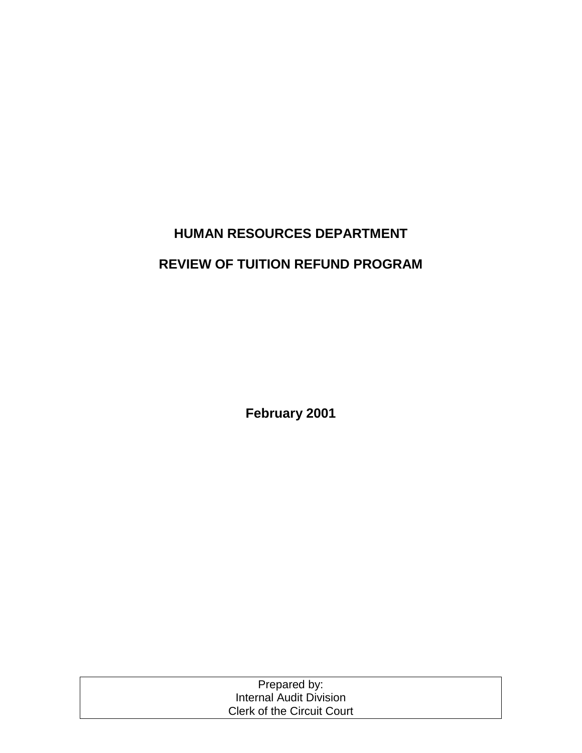# **HUMAN RESOURCES DEPARTMENT REVIEW OF TUITION REFUND PROGRAM**

**February 2001** 

| Prepared by:                      |  |
|-----------------------------------|--|
| Internal Audit Division           |  |
| <b>Clerk of the Circuit Court</b> |  |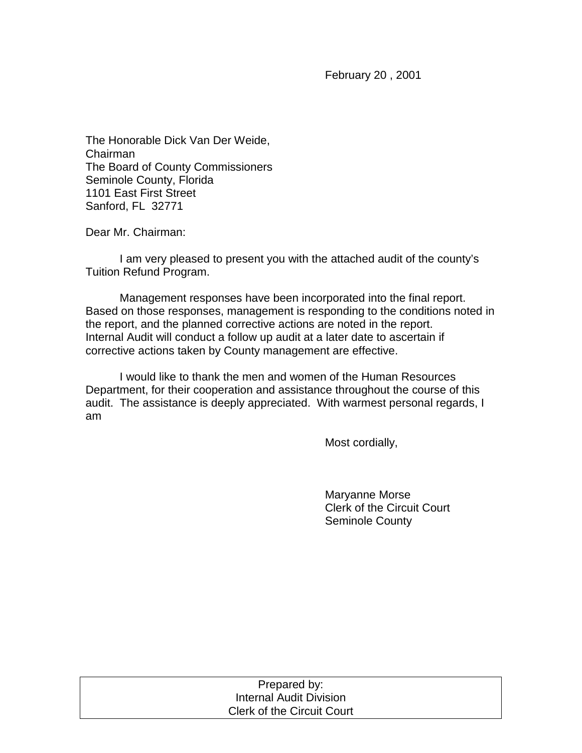February 20 , 2001

The Honorable Dick Van Der Weide, Chairman The Board of County Commissioners Seminole County, Florida 1101 East First Street Sanford, FL 32771

Dear Mr. Chairman:

 I am very pleased to present you with the attached audit of the county's Tuition Refund Program.

 Management responses have been incorporated into the final report. Based on those responses, management is responding to the conditions noted in the report, and the planned corrective actions are noted in the report. Internal Audit will conduct a follow up audit at a later date to ascertain if corrective actions taken by County management are effective.

I would like to thank the men and women of the Human Resources Department, for their cooperation and assistance throughout the course of this audit. The assistance is deeply appreciated. With warmest personal regards, I am

Most cordially,

 Maryanne Morse Clerk of the Circuit Court Seminole County

| Prepared by:                      |  |
|-----------------------------------|--|
| <b>Internal Audit Division</b>    |  |
| <b>Clerk of the Circuit Court</b> |  |
|                                   |  |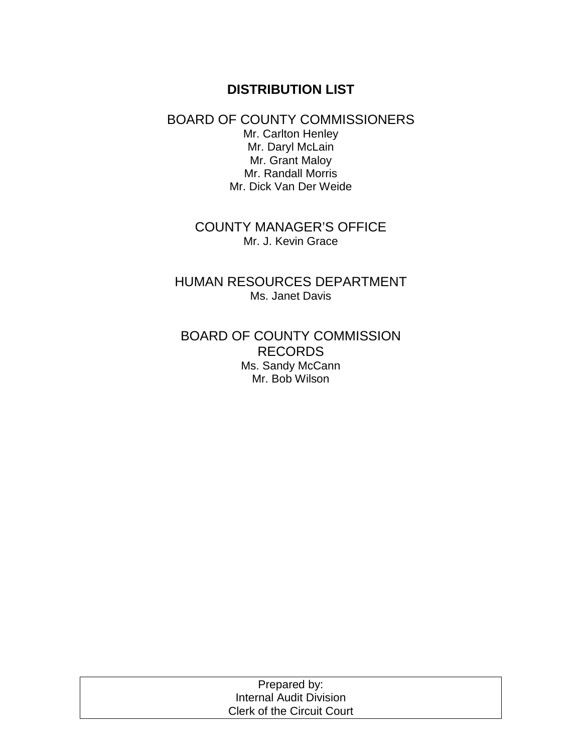# **DISTRIBUTION LIST**

#### BOARD OF COUNTY COMMISSIONERS Mr. Carlton Henley Mr. Daryl McLain Mr. Grant Maloy Mr. Randall Morris Mr. Dick Van Der Weide

COUNTY MANAGER'S OFFICE Mr. J. Kevin Grace

HUMAN RESOURCES DEPARTMENT Ms. Janet Davis

BOARD OF COUNTY COMMISSION RECORDS Ms. Sandy McCann Mr. Bob Wilson

| Prepared by:                      |  |
|-----------------------------------|--|
| Internal Audit Division           |  |
| <b>Clerk of the Circuit Court</b> |  |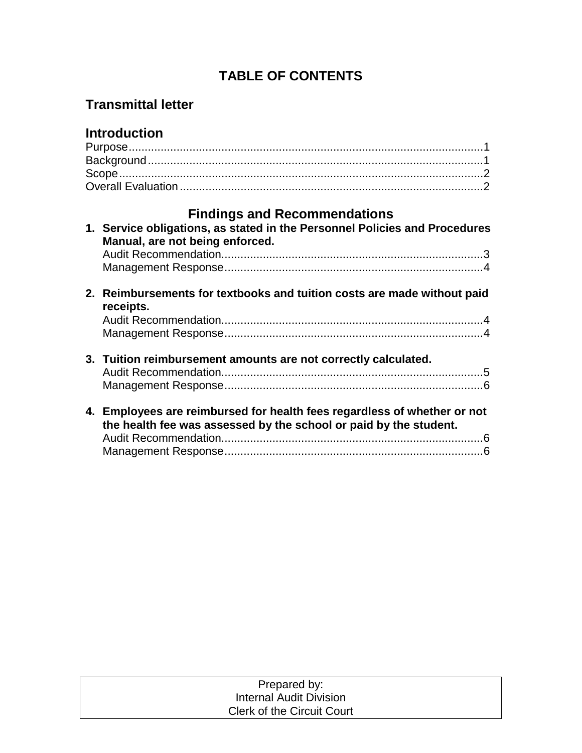# **TABLE OF CONTENTS**

# **Transmittal letter**

# **Introduction**

# **Findings and Recommendations**

| 1. Service obligations, as stated in the Personnel Policies and Procedures<br>Manual, are not being enforced. |                                                                                                                                               |  |
|---------------------------------------------------------------------------------------------------------------|-----------------------------------------------------------------------------------------------------------------------------------------------|--|
|                                                                                                               |                                                                                                                                               |  |
|                                                                                                               |                                                                                                                                               |  |
|                                                                                                               | 2. Reimbursements for textbooks and tuition costs are made without paid<br>receipts.                                                          |  |
|                                                                                                               |                                                                                                                                               |  |
|                                                                                                               |                                                                                                                                               |  |
|                                                                                                               | 3. Tuition reimbursement amounts are not correctly calculated.                                                                                |  |
|                                                                                                               |                                                                                                                                               |  |
|                                                                                                               |                                                                                                                                               |  |
|                                                                                                               | 4. Employees are reimbursed for health fees regardless of whether or not<br>the health fee was assessed by the school or paid by the student. |  |
|                                                                                                               |                                                                                                                                               |  |
|                                                                                                               |                                                                                                                                               |  |

| Prepared by:                      |  |
|-----------------------------------|--|
| Internal Audit Division           |  |
| <b>Clerk of the Circuit Court</b> |  |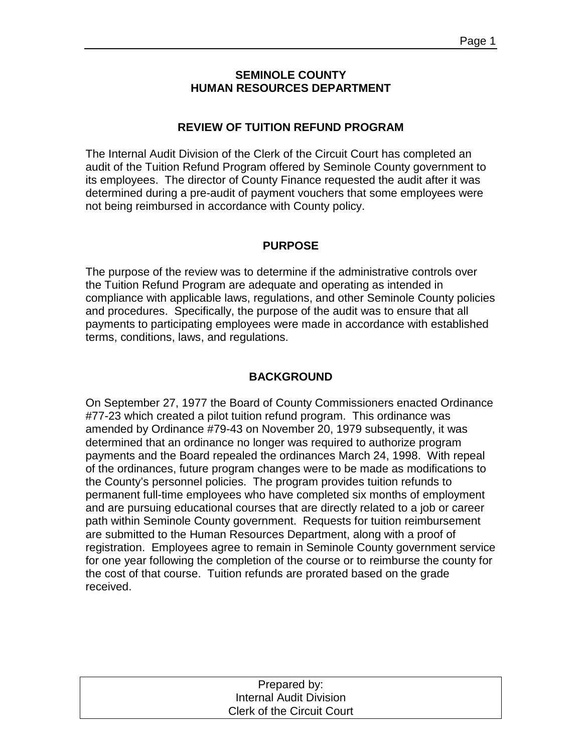#### **SEMINOLE COUNTY HUMAN RESOURCES DEPARTMENT**

#### **REVIEW OF TUITION REFUND PROGRAM**

The Internal Audit Division of the Clerk of the Circuit Court has completed an audit of the Tuition Refund Program offered by Seminole County government to its employees. The director of County Finance requested the audit after it was determined during a pre-audit of payment vouchers that some employees were not being reimbursed in accordance with County policy.

#### **PURPOSE**

The purpose of the review was to determine if the administrative controls over the Tuition Refund Program are adequate and operating as intended in compliance with applicable laws, regulations, and other Seminole County policies and procedures. Specifically, the purpose of the audit was to ensure that all payments to participating employees were made in accordance with established terms, conditions, laws, and regulations.

#### **BACKGROUND**

On September 27, 1977 the Board of County Commissioners enacted Ordinance #77-23 which created a pilot tuition refund program. This ordinance was amended by Ordinance #79-43 on November 20, 1979 subsequently, it was determined that an ordinance no longer was required to authorize program payments and the Board repealed the ordinances March 24, 1998. With repeal of the ordinances, future program changes were to be made as modifications to the County's personnel policies. The program provides tuition refunds to permanent full-time employees who have completed six months of employment and are pursuing educational courses that are directly related to a job or career path within Seminole County government. Requests for tuition reimbursement are submitted to the Human Resources Department, along with a proof of registration. Employees agree to remain in Seminole County government service for one year following the completion of the course or to reimburse the county for the cost of that course. Tuition refunds are prorated based on the grade received.

| Prepared by:                      |  |
|-----------------------------------|--|
| <b>Internal Audit Division</b>    |  |
| <b>Clerk of the Circuit Court</b> |  |
|                                   |  |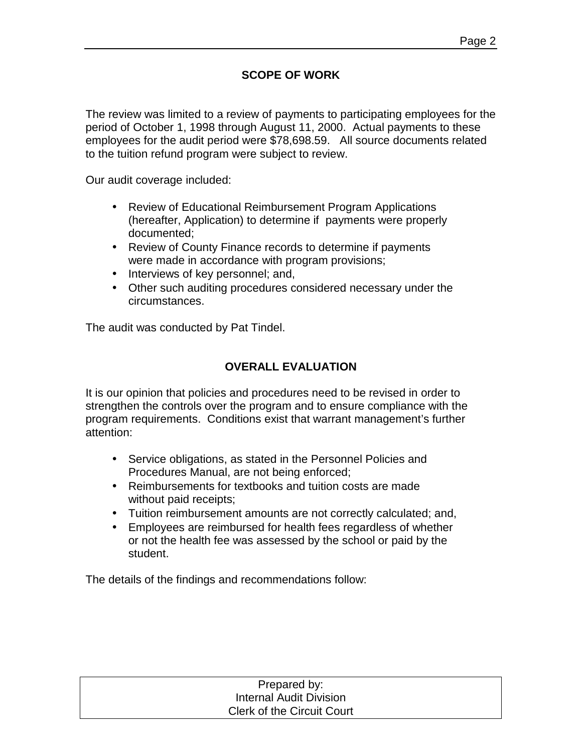## **SCOPE OF WORK**

The review was limited to a review of payments to participating employees for the period of October 1, 1998 through August 11, 2000. Actual payments to these employees for the audit period were \$78,698.59. All source documents related to the tuition refund program were subject to review.

Our audit coverage included:

- Review of Educational Reimbursement Program Applications (hereafter, Application) to determine if payments were properly documented;
- Review of County Finance records to determine if payments were made in accordance with program provisions;
- Interviews of key personnel; and,
- Other such auditing procedures considered necessary under the circumstances.

The audit was conducted by Pat Tindel.

#### **OVERALL EVALUATION**

It is our opinion that policies and procedures need to be revised in order to strengthen the controls over the program and to ensure compliance with the program requirements. Conditions exist that warrant management's further attention:

- Service obligations, as stated in the Personnel Policies and Procedures Manual, are not being enforced;
- Reimbursements for textbooks and tuition costs are made without paid receipts;
- Tuition reimbursement amounts are not correctly calculated; and,
- Employees are reimbursed for health fees regardless of whether or not the health fee was assessed by the school or paid by the student.

The details of the findings and recommendations follow:

| Prepared by:                      |
|-----------------------------------|
| Internal Audit Division           |
| <b>Clerk of the Circuit Court</b> |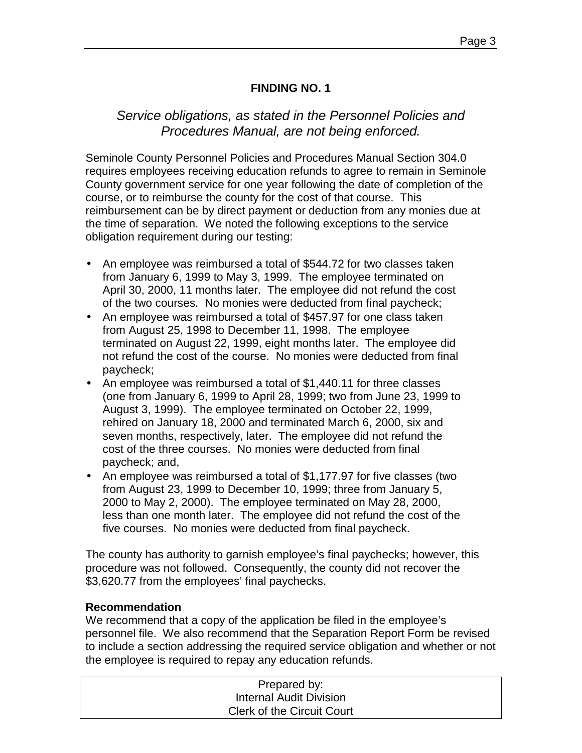### **FINDING NO. 1**

# *Service obligations, as stated in the Personnel Policies and Procedures Manual, are not being enforced.*

Seminole County Personnel Policies and Procedures Manual Section 304.0 requires employees receiving education refunds to agree to remain in Seminole County government service for one year following the date of completion of the course, or to reimburse the county for the cost of that course. This reimbursement can be by direct payment or deduction from any monies due at the time of separation. We noted the following exceptions to the service obligation requirement during our testing:

- An employee was reimbursed a total of \$544.72 for two classes taken from January 6, 1999 to May 3, 1999. The employee terminated on April 30, 2000, 11 months later. The employee did not refund the cost of the two courses. No monies were deducted from final paycheck;
- An employee was reimbursed a total of \$457.97 for one class taken from August 25, 1998 to December 11, 1998. The employee terminated on August 22, 1999, eight months later. The employee did not refund the cost of the course. No monies were deducted from final paycheck;
- An employee was reimbursed a total of \$1,440.11 for three classes (one from January 6, 1999 to April 28, 1999; two from June 23, 1999 to August 3, 1999). The employee terminated on October 22, 1999, rehired on January 18, 2000 and terminated March 6, 2000, six and seven months, respectively, later. The employee did not refund the cost of the three courses. No monies were deducted from final paycheck; and,
- An employee was reimbursed a total of \$1,177.97 for five classes (two from August 23, 1999 to December 10, 1999; three from January 5, 2000 to May 2, 2000). The employee terminated on May 28, 2000, less than one month later. The employee did not refund the cost of the five courses. No monies were deducted from final paycheck.

The county has authority to garnish employee's final paychecks; however, this procedure was not followed. Consequently, the county did not recover the \$3,620.77 from the employees' final paychecks.

#### **Recommendation**

We recommend that a copy of the application be filed in the employee's personnel file. We also recommend that the Separation Report Form be revised to include a section addressing the required service obligation and whether or not the employee is required to repay any education refunds.

| Prepared by:                      |
|-----------------------------------|
| Internal Audit Division           |
| <b>Clerk of the Circuit Court</b> |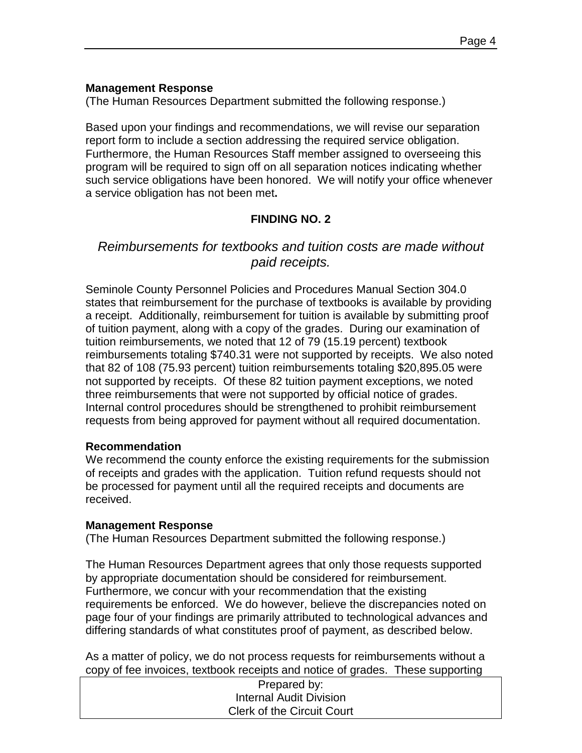#### **Management Response**

(The Human Resources Department submitted the following response.)

Based upon your findings and recommendations, we will revise our separation report form to include a section addressing the required service obligation. Furthermore, the Human Resources Staff member assigned to overseeing this program will be required to sign off on all separation notices indicating whether such service obligations have been honored. We will notify your office whenever a service obligation has not been met**.** 

## **FINDING NO. 2**

# *Reimbursements for textbooks and tuition costs are made without paid receipts.*

Seminole County Personnel Policies and Procedures Manual Section 304.0 states that reimbursement for the purchase of textbooks is available by providing a receipt. Additionally, reimbursement for tuition is available by submitting proof of tuition payment, along with a copy of the grades. During our examination of tuition reimbursements, we noted that 12 of 79 (15.19 percent) textbook reimbursements totaling \$740.31 were not supported by receipts. We also noted that 82 of 108 (75.93 percent) tuition reimbursements totaling \$20,895.05 were not supported by receipts. Of these 82 tuition payment exceptions, we noted three reimbursements that were not supported by official notice of grades. Internal control procedures should be strengthened to prohibit reimbursement requests from being approved for payment without all required documentation.

#### **Recommendation**

We recommend the county enforce the existing requirements for the submission of receipts and grades with the application. Tuition refund requests should not be processed for payment until all the required receipts and documents are received.

#### **Management Response**

(The Human Resources Department submitted the following response.)

The Human Resources Department agrees that only those requests supported by appropriate documentation should be considered for reimbursement. Furthermore, we concur with your recommendation that the existing requirements be enforced. We do however, believe the discrepancies noted on page four of your findings are primarily attributed to technological advances and differing standards of what constitutes proof of payment, as described below.

As a matter of policy, we do not process requests for reimbursements without a copy of fee invoices, textbook receipts and notice of grades. These supporting

| Prepared by:                      |  |
|-----------------------------------|--|
| Internal Audit Division           |  |
| <b>Clerk of the Circuit Court</b> |  |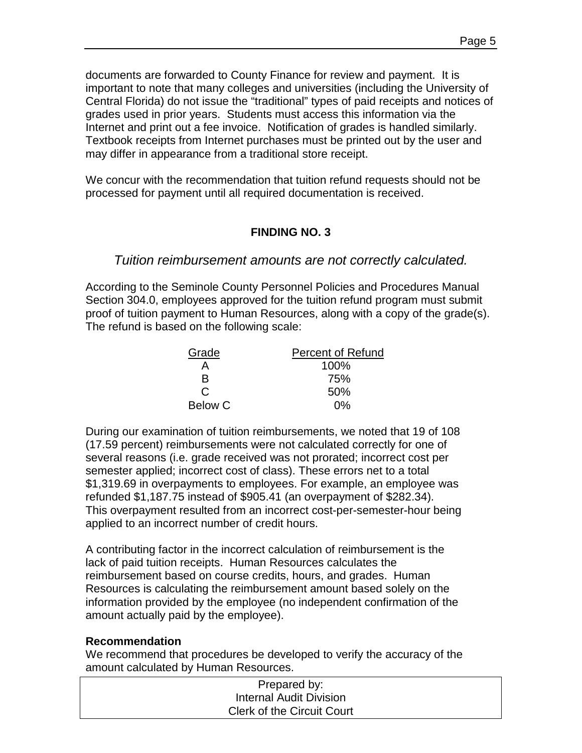documents are forwarded to County Finance for review and payment. It is important to note that many colleges and universities (including the University of Central Florida) do not issue the "traditional" types of paid receipts and notices of grades used in prior years. Students must access this information via the Internet and print out a fee invoice. Notification of grades is handled similarly. Textbook receipts from Internet purchases must be printed out by the user and may differ in appearance from a traditional store receipt.

We concur with the recommendation that tuition refund requests should not be processed for payment until all required documentation is received.

### **FINDING NO. 3**

### *Tuition reimbursement amounts are not correctly calculated.*

According to the Seminole County Personnel Policies and Procedures Manual Section 304.0, employees approved for the tuition refund program must submit proof of tuition payment to Human Resources, along with a copy of the grade(s). The refund is based on the following scale:

| Grade          | <b>Percent of Refund</b> |
|----------------|--------------------------|
|                | 100%                     |
| R              | 75%                      |
| C              | 50%                      |
| <b>Below C</b> | 0%                       |

During our examination of tuition reimbursements, we noted that 19 of 108 (17.59 percent) reimbursements were not calculated correctly for one of several reasons (i.e. grade received was not prorated; incorrect cost per semester applied; incorrect cost of class). These errors net to a total \$1,319.69 in overpayments to employees. For example, an employee was refunded \$1,187.75 instead of \$905.41 (an overpayment of \$282.34). This overpayment resulted from an incorrect cost-per-semester-hour being applied to an incorrect number of credit hours.

A contributing factor in the incorrect calculation of reimbursement is the lack of paid tuition receipts. Human Resources calculates the reimbursement based on course credits, hours, and grades. Human Resources is calculating the reimbursement amount based solely on the information provided by the employee (no independent confirmation of the amount actually paid by the employee).

#### **Recommendation**

We recommend that procedures be developed to verify the accuracy of the amount calculated by Human Resources.

| Prepared by:                      |  |
|-----------------------------------|--|
| Internal Audit Division           |  |
| <b>Clerk of the Circuit Court</b> |  |